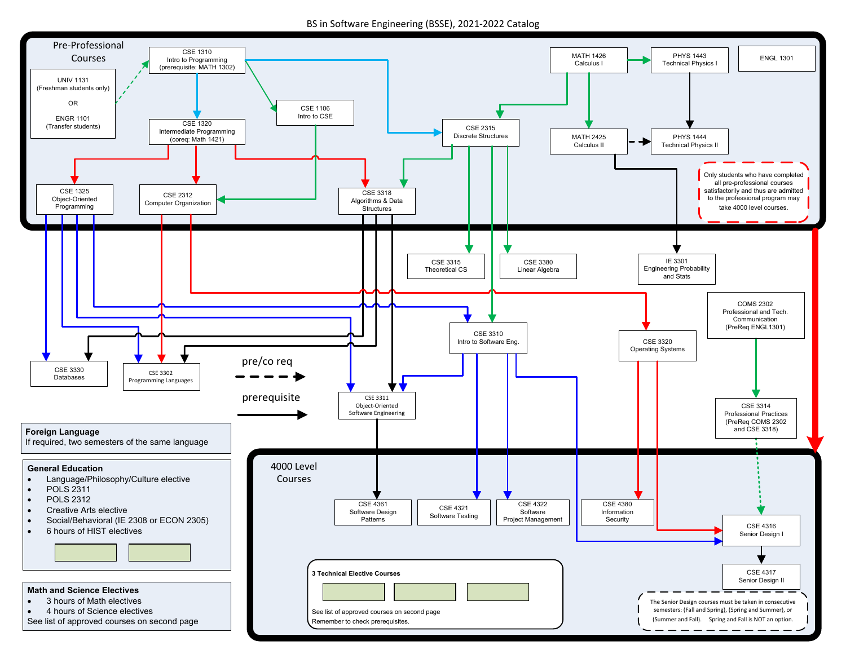BS in Software Engineering (BSSE), 2021‐2022 Catalog

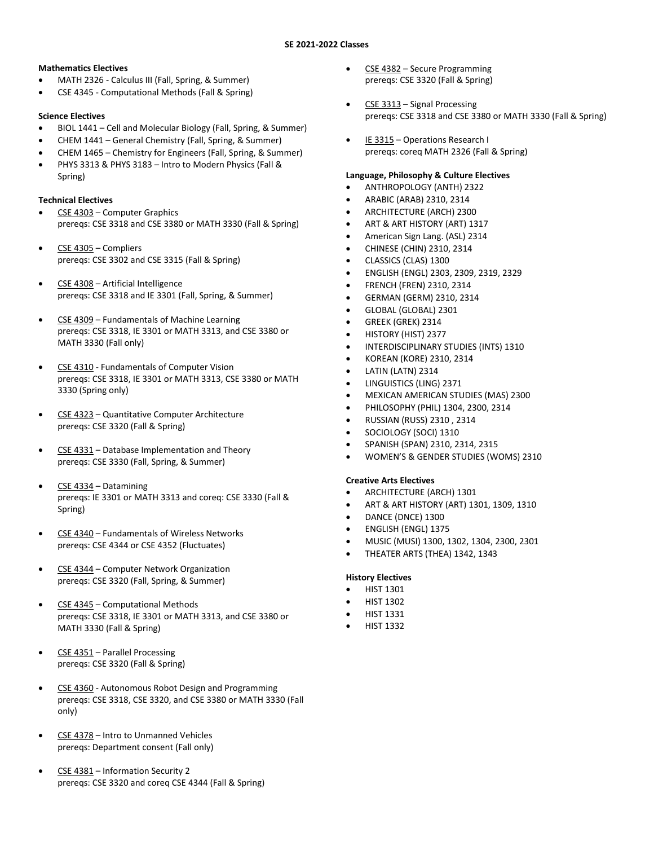#### **Mathematics Electives**

- MATH 2326 Calculus III (Fall, Spring, & Summer)
- CSE 4345 Computational Methods (Fall & Spring)

### **Science Electives**

- BIOL 1441 Cell and Molecular Biology (Fall, Spring, & Summer)
- CHEM 1441 General Chemistry (Fall, Spring, & Summer)
- CHEM 1465 Chemistry for Engineers (Fall, Spring, & Summer)
- PHYS 3313 & PHYS 3183 Intro to Modern Physics (Fall & Spring)

#### **Technical Electives**

- CSE 4303 Computer Graphics prereqs: CSE 3318 and CSE 3380 or MATH 3330 (Fall & Spring)
- CSE 4305 Compliers prereqs: CSE 3302 and CSE 3315 (Fall & Spring)
- CSE 4308 Artificial Intelligence prereqs: CSE 3318 and IE 3301 (Fall, Spring, & Summer)
- CSE 4309 Fundamentals of Machine Learning prereqs: CSE 3318, IE 3301 or MATH 3313, and CSE 3380 or MATH 3330 (Fall only)
- CSE 4310 Fundamentals of Computer Vision prereqs: CSE 3318, IE 3301 or MATH 3313, CSE 3380 or MATH 3330 (Spring only)
- CSE 4323 Quantitative Computer Architecture prereqs: CSE 3320 (Fall & Spring)
- CSE 4331 Database Implementation and Theory prereqs: CSE 3330 (Fall, Spring, & Summer)
- CSE 4334 Datamining prereqs: IE 3301 or MATH 3313 and coreq: CSE 3330 (Fall & Spring)
- CSE 4340 Fundamentals of Wireless Networks prereqs: CSE 4344 or CSE 4352 (Fluctuates)
- CSE 4344 Computer Network Organization prereqs: CSE 3320 (Fall, Spring, & Summer)
- CSE 4345 Computational Methods prereqs: CSE 3318, IE 3301 or MATH 3313, and CSE 3380 or MATH 3330 (Fall & Spring)
- CSE 4351 Parallel Processing prereqs: CSE 3320 (Fall & Spring)
- CSE 4360 Autonomous Robot Design and Programming prereqs: CSE 3318, CSE 3320, and CSE 3380 or MATH 3330 (Fall only)
- CSE 4378 Intro to Unmanned Vehicles prereqs: Department consent (Fall only)
- CSE 4381 Information Security 2 prereqs: CSE 3320 and coreq CSE 4344 (Fall & Spring)
- CSE 4382 Secure Programming prereqs: CSE 3320 (Fall & Spring)
- CSE 3313 Signal Processing prereqs: CSE 3318 and CSE 3380 or MATH 3330 (Fall & Spring)
- IE 3315 Operations Research I prereqs: coreq MATH 2326 (Fall & Spring)

#### **Language, Philosophy & Culture Electives**

- ANTHROPOLOGY (ANTH) 2322
- ARABIC (ARAB) 2310, 2314
- ARCHITECTURE (ARCH) 2300
- ART & ART HISTORY (ART) 1317
- American Sign Lang. (ASL) 2314
- CHINESE (CHIN) 2310, 2314
- CLASSICS (CLAS) 1300
- ENGLISH (ENGL) 2303, 2309, 2319, 2329
- FRENCH (FREN) 2310, 2314
- GERMAN (GERM) 2310, 2314
- GLOBAL (GLOBAL) 2301
- GREEK (GREK) 2314
- HISTORY (HIST) 2377
- INTERDISCIPLINARY STUDIES (INTS) 1310
- KOREAN (KORE) 2310, 2314
- LATIN (LATN) 2314
- LINGUISTICS (LING) 2371
- MEXICAN AMERICAN STUDIES (MAS) 2300
- PHILOSOPHY (PHIL) 1304, 2300, 2314
- RUSSIAN (RUSS) 2310 , 2314
- SOCIOLOGY (SOCI) 1310
- SPANISH (SPAN) 2310, 2314, 2315
- WOMEN'S & GENDER STUDIES (WOMS) 2310

### **Creative Arts Electives**

- ARCHITECTURE (ARCH) 1301
- ART & ART HISTORY (ART) 1301, 1309, 1310
- DANCE (DNCE) 1300
- ENGLISH (ENGL) 1375
- MUSIC (MUSI) 1300, 1302, 1304, 2300, 2301
- THEATER ARTS (THEA) 1342, 1343

### **History Electives**

- HIST 1301
- HIST 1302
- HIST 1331
- HIST 1332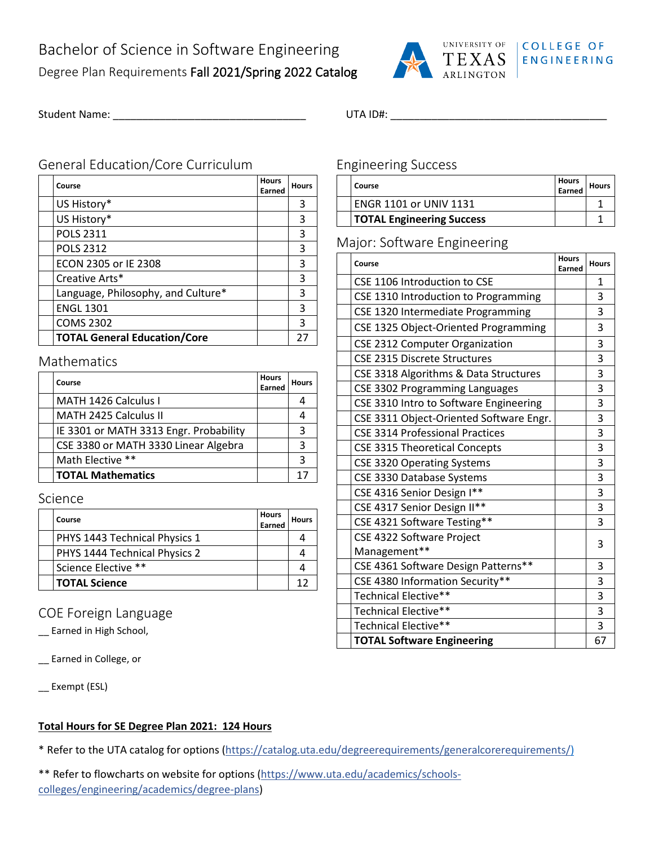

## **COLLEGE OF ENGINEERING**

Student Name: \_\_\_\_\_\_\_\_\_\_\_\_\_\_\_\_\_\_\_\_\_\_\_\_\_\_\_\_\_\_\_\_\_ UTA ID#: \_\_\_\_\_\_\_\_\_\_\_\_\_\_\_\_\_\_\_\_\_\_\_\_\_\_\_\_\_\_\_\_\_\_\_\_\_

## General Education/Core Curriculum

| Course                              | <b>Hours</b><br>Earned | <b>Hours</b> |
|-------------------------------------|------------------------|--------------|
| US History*                         |                        | 3            |
| US History*                         |                        | 3            |
| <b>POLS 2311</b>                    |                        | 3            |
| <b>POLS 2312</b>                    |                        | 3            |
| ECON 2305 or IE 2308                |                        | 3            |
| Creative Arts*                      |                        | 3            |
| Language, Philosophy, and Culture*  |                        | 3            |
| <b>ENGL 1301</b>                    |                        | 3            |
| <b>COMS 2302</b>                    |                        | 3            |
| <b>TOTAL General Education/Core</b> |                        | 27           |

### Mathematics

| Course                                 | <b>Hours</b><br>Earned | <b>Hours</b> |
|----------------------------------------|------------------------|--------------|
| MATH 1426 Calculus I                   |                        |              |
| MATH 2425 Calculus II                  |                        |              |
| IE 3301 or MATH 3313 Engr. Probability |                        | 3            |
| CSE 3380 or MATH 3330 Linear Algebra   |                        | 3            |
| Math Elective **                       |                        | 3            |
| <b>TOTAL Mathematics</b>               |                        | 1.           |

### Science

| Course                        | <b>Hours</b><br>Earned | <b>Hours</b> |
|-------------------------------|------------------------|--------------|
| PHYS 1443 Technical Physics 1 |                        |              |
| PHYS 1444 Technical Physics 2 |                        |              |
| Science Elective **           |                        |              |
| <b>TOTAL Science</b>          |                        |              |

# COE Foreign Language

\_\_ Earned in High School,

\_\_ Earned in College, or

\_\_ Exempt (ESL)

## **Total Hours for SE Degree Plan 2021: 124 Hours**

\* Refer to the UTA catalog for options [\(https://catalog.uta.edu/degreerequirements/generalcorerequirements/\)](https://catalog.uta.edu/degreerequirements/generalcorerequirements/)

\*\* Refer to flowcharts on website for options [\(https://www.uta.edu/academics/schools](https://www.uta.edu/academics/schools-colleges/engineering/academics/degree-plans)[colleges/engineering/academics/degree-plans\)](https://www.uta.edu/academics/schools-colleges/engineering/academics/degree-plans)

## Engineering Success

| Course                           | Hours<br>Earned | Hours |
|----------------------------------|-----------------|-------|
| <b>ENGR 1101 or UNIV 1131</b>    |                 |       |
| <b>TOTAL Engineering Success</b> |                 |       |

# Major: Software Engineering

| Course                                  |  | <b>Hours</b> |
|-----------------------------------------|--|--------------|
| CSE 1106 Introduction to CSE            |  | 1            |
| CSE 1310 Introduction to Programming    |  | 3            |
| CSE 1320 Intermediate Programming       |  | 3            |
| CSE 1325 Object-Oriented Programming    |  | 3            |
| <b>CSE 2312 Computer Organization</b>   |  | 3            |
| <b>CSE 2315 Discrete Structures</b>     |  | 3            |
| CSE 3318 Algorithms & Data Structures   |  | 3            |
| CSE 3302 Programming Languages          |  | 3            |
| CSE 3310 Intro to Software Engineering  |  | 3            |
| CSE 3311 Object-Oriented Software Engr. |  | 3            |
| <b>CSE 3314 Professional Practices</b>  |  | 3            |
| <b>CSE 3315 Theoretical Concepts</b>    |  | 3            |
| <b>CSE 3320 Operating Systems</b>       |  | 3            |
| CSE 3330 Database Systems               |  | 3            |
| CSE 4316 Senior Design I**              |  | 3            |
| CSE 4317 Senior Design II**             |  | 3            |
| CSE 4321 Software Testing**             |  | 3            |
| CSE 4322 Software Project               |  | 3            |
| Management**                            |  |              |
| CSE 4361 Software Design Patterns**     |  | 3            |
| CSE 4380 Information Security**         |  | 3            |
| Technical Elective**                    |  | 3            |
| Technical Elective**                    |  | 3            |
| Technical Elective**                    |  | 3            |
| <b>TOTAL Software Engineering</b>       |  | 67           |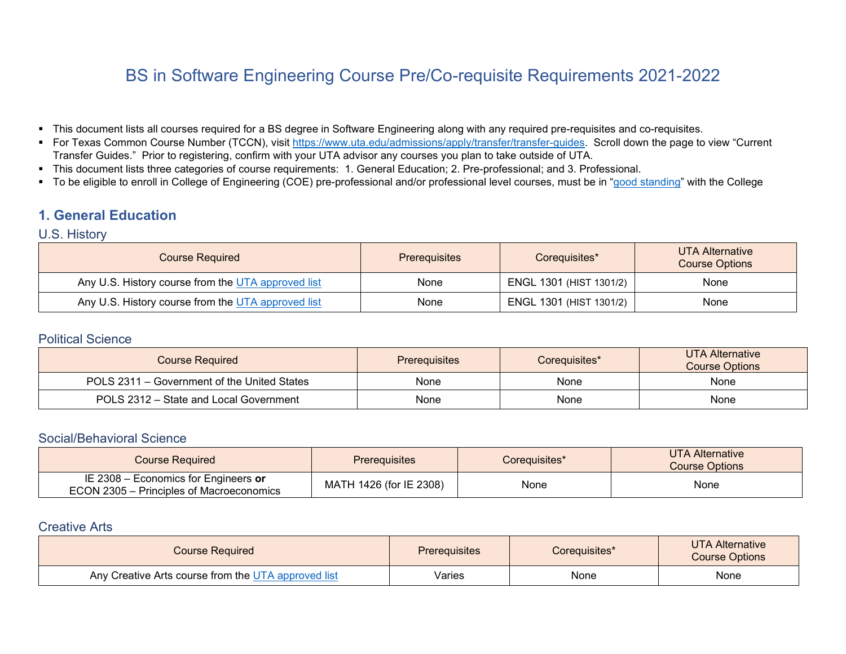# BS in Software Engineering Course Pre/Co-requisite Requirements 2021-2022

- This document lists all courses required for a BS degree in Software Engineering along with any required pre-requisites and co-requisites.
- For Texas Common Course Number (TCCN), visit [https://www.uta.edu/admissions/apply/transfer/transfer-guides.](https://www.uta.edu/admissions/apply/transfer/transfer-guides) Scroll down the page to view "Current" Transfer Guides." Prior to registering, confirm with your UTA advisor any courses you plan to take outside of UTA.
- This document lists three categories of course requirements: 1. General Education; 2. Pre-professional; and 3. Professional.
- To be eligible to enroll in College of Engineering (COE) pre-professional and/or professional level courses, must be in ["good standing"](https://catalog.uta.edu/engineering/) with the College

# **1. General Education**

### U.S. History

| <b>Course Required</b>                             | <b>Prerequisites</b> | Corequisites*           | UTA Alternative<br><b>Course Options</b> |
|----------------------------------------------------|----------------------|-------------------------|------------------------------------------|
| Any U.S. History course from the UTA approved list | None                 | ENGL 1301 (HIST 1301/2) | None                                     |
| Any U.S. History course from the UTA approved list | None                 | ENGL 1301 (HIST 1301/2) | None                                     |

### Political Science

| <b>Course Required</b>                      | <b>Prerequisites</b> | Corequisites* | UTA Alternative<br><b>Course Options</b> |
|---------------------------------------------|----------------------|---------------|------------------------------------------|
| POLS 2311 – Government of the United States | None                 | None          | None                                     |
| POLS 2312 – State and Local Government      | None                 | None          | None                                     |

### Social/Behavioral Science

| <b>Course Required</b>                                                           | <b>Prerequisites</b>    | Corequisites* | <b>UTA Alternative</b><br><b>Course Options</b> |
|----------------------------------------------------------------------------------|-------------------------|---------------|-------------------------------------------------|
| IE 2308 – Economics for Engineers or<br>ECON 2305 – Principles of Macroeconomics | MATH 1426 (for IE 2308) | None          | None                                            |

## Creative Arts

| <b>Course Required</b>                              | <b>Prerequisites</b> | Corequisites* | <b>UTA Alternative</b><br><b>Course Options</b> |
|-----------------------------------------------------|----------------------|---------------|-------------------------------------------------|
| Any Creative Arts course from the UTA approved list | Varies               | None          | None                                            |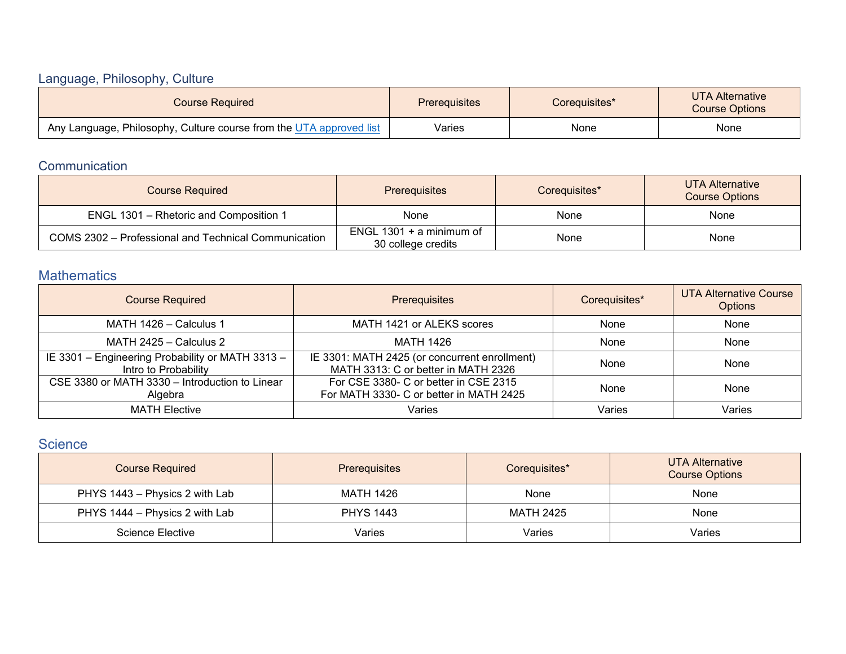# Language, Philosophy, Culture

| <b>Course Required</b>                                              | <b>Prerequisites</b> | Coreguisites* | UTA Alternative<br><b>Course Options</b> |
|---------------------------------------------------------------------|----------------------|---------------|------------------------------------------|
| Any Language, Philosophy, Culture course from the UTA approved list | Varies               | None          | None                                     |

# **Communication**

| <b>Course Required</b>                               | <b>Prerequisites</b>                             | Corequisites* | UTA Alternative<br><b>Course Options</b> |
|------------------------------------------------------|--------------------------------------------------|---------------|------------------------------------------|
| ENGL 1301 - Rhetoric and Composition 1               | None                                             | None          | None                                     |
| COMS 2302 - Professional and Technical Communication | ENGL $1301 + a$ minimum of<br>30 college credits | None          | None                                     |

# **Mathematics**

| <b>Course Required</b>                                                   | Prerequisites                                                                        | Corequisites* | <b>UTA Alternative Course</b><br><b>Options</b> |
|--------------------------------------------------------------------------|--------------------------------------------------------------------------------------|---------------|-------------------------------------------------|
| MATH 1426 - Calculus 1                                                   | MATH 1421 or ALEKS scores                                                            | None          | None                                            |
| MATH 2425 - Calculus 2                                                   | MATH 1426                                                                            | None          | None                                            |
| IE 3301 - Engineering Probability or MATH 3313 -<br>Intro to Probability | IE 3301: MATH 2425 (or concurrent enrollment)<br>MATH 3313: C or better in MATH 2326 | None          | None                                            |
| CSE 3380 or MATH 3330 - Introduction to Linear<br>Algebra                | For CSE 3380- C or better in CSE 2315<br>For MATH 3330- C or better in MATH 2425     | None          | None                                            |
| <b>MATH Elective</b>                                                     | Varies                                                                               | Varies        | Varies                                          |

# **Science**

| <b>Course Required</b>         | <b>Prerequisites</b> | Corequisites* | <b>UTA Alternative</b><br><b>Course Options</b> |
|--------------------------------|----------------------|---------------|-------------------------------------------------|
| PHYS 1443 – Physics 2 with Lab | MATH 1426            | None          | None                                            |
| PHYS 1444 – Physics 2 with Lab | <b>PHYS 1443</b>     | MATH 2425     | None                                            |
| Science Elective               | Varies               | Varies        | Varies                                          |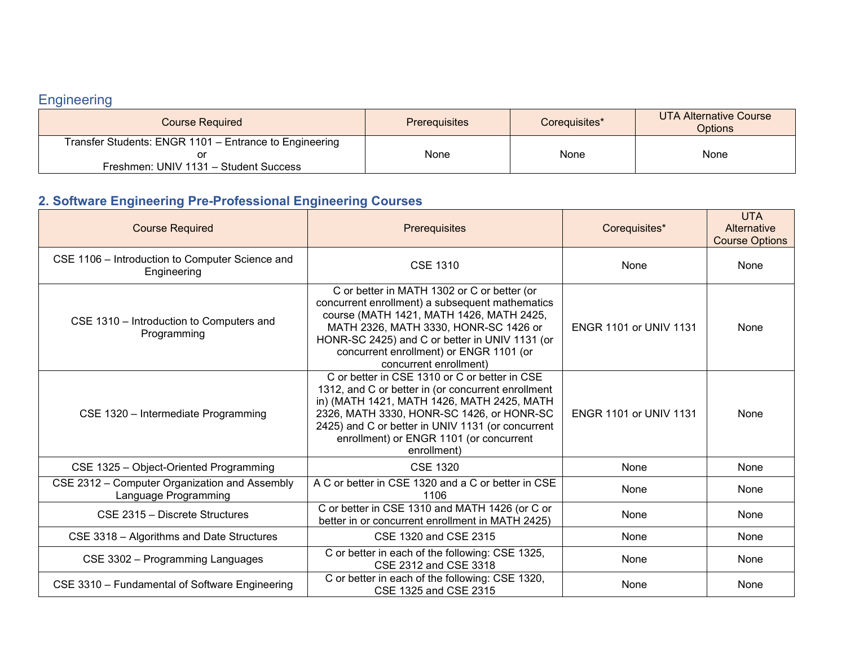# **Engineering**

| <b>Course Required</b>                                 | <b>Prerequisites</b> | Corequisites* | UTA Alternative Course<br><b>Options</b> |
|--------------------------------------------------------|----------------------|---------------|------------------------------------------|
| Transfer Students: ENGR 1101 - Entrance to Engineering |                      |               |                                          |
|                                                        | None                 | None          | None                                     |
| Freshmen: UNIV 1131 - Student Success                  |                      |               |                                          |

# **2. Software Engineering Pre-Professional Engineering Courses**

| <b>Course Required</b>                                                | Prerequisites                                                                                                                                                                                                                                                                                                 | Corequisites*                 | <b>UTA</b><br>Alternative<br><b>Course Options</b> |
|-----------------------------------------------------------------------|---------------------------------------------------------------------------------------------------------------------------------------------------------------------------------------------------------------------------------------------------------------------------------------------------------------|-------------------------------|----------------------------------------------------|
| CSE 1106 - Introduction to Computer Science and<br>Engineering        | <b>CSE 1310</b>                                                                                                                                                                                                                                                                                               | None                          | None                                               |
| CSE 1310 - Introduction to Computers and<br>Programming               | C or better in MATH 1302 or C or better (or<br>concurrent enrollment) a subsequent mathematics<br>course (MATH 1421, MATH 1426, MATH 2425,<br>MATH 2326, MATH 3330, HONR-SC 1426 or<br>HONR-SC 2425) and C or better in UNIV 1131 (or<br>concurrent enrollment) or ENGR 1101 (or<br>concurrent enrollment)    | <b>ENGR 1101 or UNIV 1131</b> | None                                               |
| CSE 1320 - Intermediate Programming                                   | C or better in CSE 1310 or C or better in CSE<br>1312, and C or better in (or concurrent enrollment<br>in) (MATH 1421, MATH 1426, MATH 2425, MATH<br>2326, MATH 3330, HONR-SC 1426, or HONR-SC<br>2425) and C or better in UNIV 1131 (or concurrent<br>enrollment) or ENGR 1101 (or concurrent<br>enrollment) | <b>ENGR 1101 or UNIV 1131</b> | None                                               |
| CSE 1325 - Object-Oriented Programming                                | <b>CSE 1320</b>                                                                                                                                                                                                                                                                                               | None                          | None                                               |
| CSE 2312 - Computer Organization and Assembly<br>Language Programming | A C or better in CSE 1320 and a C or better in CSE<br>1106                                                                                                                                                                                                                                                    | None                          | None                                               |
| CSE 2315 - Discrete Structures                                        | C or better in CSE 1310 and MATH 1426 (or C or<br>better in or concurrent enrollment in MATH 2425)                                                                                                                                                                                                            | None                          | None                                               |
| CSE 3318 - Algorithms and Date Structures                             | CSE 1320 and CSE 2315                                                                                                                                                                                                                                                                                         | None                          | None                                               |
| CSE 3302 - Programming Languages                                      | C or better in each of the following: CSE 1325,<br>CSE 2312 and CSE 3318                                                                                                                                                                                                                                      | None                          | None                                               |
| CSE 3310 - Fundamental of Software Engineering                        | C or better in each of the following: CSE 1320,<br>CSE 1325 and CSE 2315                                                                                                                                                                                                                                      | None                          | None                                               |